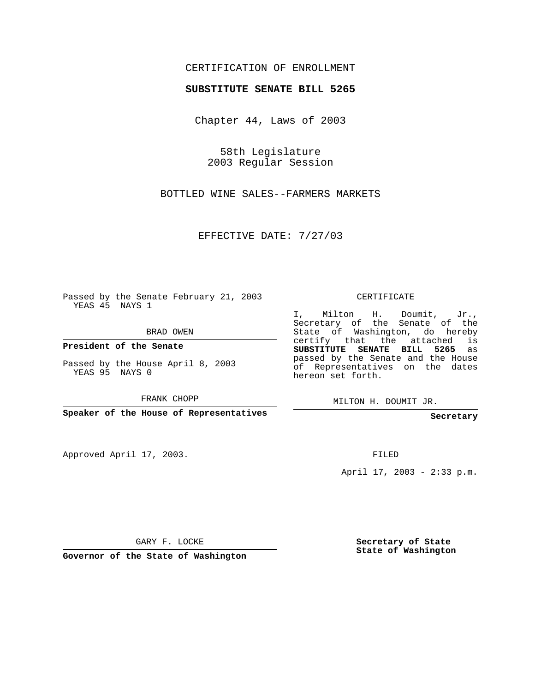## CERTIFICATION OF ENROLLMENT

## **SUBSTITUTE SENATE BILL 5265**

Chapter 44, Laws of 2003

58th Legislature 2003 Regular Session

BOTTLED WINE SALES--FARMERS MARKETS

EFFECTIVE DATE: 7/27/03

Passed by the Senate February 21, 2003 YEAS 45 NAYS 1

BRAD OWEN

**President of the Senate**

Passed by the House April 8, 2003 YEAS 95 NAYS 0

FRANK CHOPP

**Speaker of the House of Representatives**

Approved April 17, 2003.

CERTIFICATE

I, Milton H. Doumit, Jr., Secretary of the Senate of the State of Washington, do hereby certify that the attached is **SUBSTITUTE SENATE BILL 5265** as passed by the Senate and the House of Representatives on the dates hereon set forth.

MILTON H. DOUMIT JR.

**Secretary**

FILED

April 17, 2003 - 2:33 p.m.

GARY F. LOCKE

**Governor of the State of Washington**

**Secretary of State State of Washington**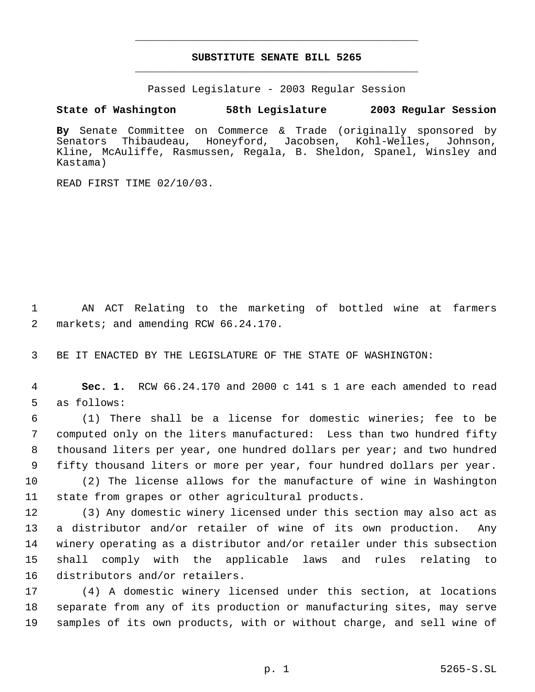## **SUBSTITUTE SENATE BILL 5265** \_\_\_\_\_\_\_\_\_\_\_\_\_\_\_\_\_\_\_\_\_\_\_\_\_\_\_\_\_\_\_\_\_\_\_\_\_\_\_\_\_\_\_\_\_

\_\_\_\_\_\_\_\_\_\_\_\_\_\_\_\_\_\_\_\_\_\_\_\_\_\_\_\_\_\_\_\_\_\_\_\_\_\_\_\_\_\_\_\_\_

Passed Legislature - 2003 Regular Session

## **State of Washington 58th Legislature 2003 Regular Session**

**By** Senate Committee on Commerce & Trade (originally sponsored by Senators Thibaudeau, Honeyford, Jacobsen, Kohl-Welles, Johnson, Kline, McAuliffe, Rasmussen, Regala, B. Sheldon, Spanel, Winsley and Kastama)

READ FIRST TIME 02/10/03.

 AN ACT Relating to the marketing of bottled wine at farmers markets; and amending RCW 66.24.170.

BE IT ENACTED BY THE LEGISLATURE OF THE STATE OF WASHINGTON:

 **Sec. 1.** RCW 66.24.170 and 2000 c 141 s 1 are each amended to read as follows:

 (1) There shall be a license for domestic wineries; fee to be computed only on the liters manufactured: Less than two hundred fifty thousand liters per year, one hundred dollars per year; and two hundred fifty thousand liters or more per year, four hundred dollars per year.

 (2) The license allows for the manufacture of wine in Washington state from grapes or other agricultural products.

 (3) Any domestic winery licensed under this section may also act as a distributor and/or retailer of wine of its own production. Any winery operating as a distributor and/or retailer under this subsection shall comply with the applicable laws and rules relating to distributors and/or retailers.

 (4) A domestic winery licensed under this section, at locations separate from any of its production or manufacturing sites, may serve samples of its own products, with or without charge, and sell wine of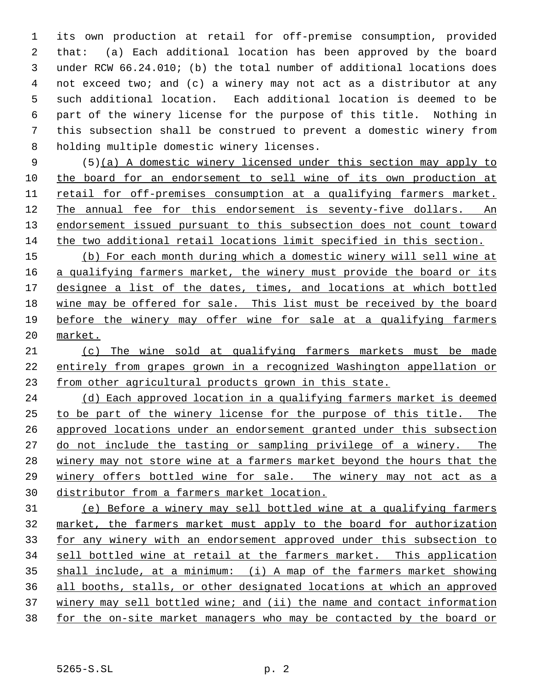its own production at retail for off-premise consumption, provided that: (a) Each additional location has been approved by the board under RCW 66.24.010; (b) the total number of additional locations does not exceed two; and (c) a winery may not act as a distributor at any such additional location. Each additional location is deemed to be part of the winery license for the purpose of this title. Nothing in this subsection shall be construed to prevent a domestic winery from holding multiple domestic winery licenses.

 (5)(a) A domestic winery licensed under this section may apply to the board for an endorsement to sell wine of its own production at retail for off-premises consumption at a qualifying farmers market. The annual fee for this endorsement is seventy-five dollars. An 13 endorsement issued pursuant to this subsection does not count toward the two additional retail locations limit specified in this section.

 (b) For each month during which a domestic winery will sell wine at 16 a qualifying farmers market, the winery must provide the board or its 17 designee a list of the dates, times, and locations at which bottled wine may be offered for sale. This list must be received by the board before the winery may offer wine for sale at a qualifying farmers market.

 (c) The wine sold at qualifying farmers markets must be made entirely from grapes grown in a recognized Washington appellation or from other agricultural products grown in this state.

 (d) Each approved location in a qualifying farmers market is deemed to be part of the winery license for the purpose of this title. The approved locations under an endorsement granted under this subsection do not include the tasting or sampling privilege of a winery. The 28 winery may not store wine at a farmers market beyond the hours that the winery offers bottled wine for sale. The winery may not act as a distributor from a farmers market location.

 (e) Before a winery may sell bottled wine at a qualifying farmers market, the farmers market must apply to the board for authorization for any winery with an endorsement approved under this subsection to sell bottled wine at retail at the farmers market. This application shall include, at a minimum: (i) A map of the farmers market showing all booths, stalls, or other designated locations at which an approved 37 winery may sell bottled wine; and (ii) the name and contact information for the on-site market managers who may be contacted by the board or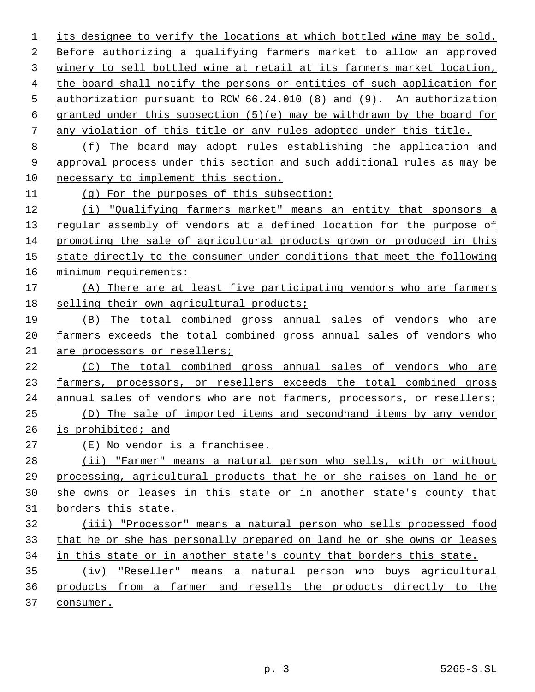its designee to verify the locations at which bottled wine may be sold. Before authorizing a qualifying farmers market to allow an approved winery to sell bottled wine at retail at its farmers market location, the board shall notify the persons or entities of such application for authorization pursuant to RCW 66.24.010 (8) and (9). An authorization 6 granted under this subsection  $(5)(e)$  may be withdrawn by the board for any violation of this title or any rules adopted under this title. (f) The board may adopt rules establishing the application and approval process under this section and such additional rules as may be necessary to implement this section. (g) For the purposes of this subsection: (i) "Qualifying farmers market" means an entity that sponsors a regular assembly of vendors at a defined location for the purpose of promoting the sale of agricultural products grown or produced in this state directly to the consumer under conditions that meet the following minimum requirements: (A) There are at least five participating vendors who are farmers selling their own agricultural products; (B) The total combined gross annual sales of vendors who are farmers exceeds the total combined gross annual sales of vendors who are processors or resellers; (C) The total combined gross annual sales of vendors who are 23 farmers, processors, or resellers exceeds the total combined gross annual sales of vendors who are not farmers, processors, or resellers; (D) The sale of imported items and secondhand items by any vendor is prohibited; and (E) No vendor is a franchisee. (ii) "Farmer" means a natural person who sells, with or without processing, agricultural products that he or she raises on land he or she owns or leases in this state or in another state's county that borders this state. (iii) "Processor" means a natural person who sells processed food that he or she has personally prepared on land he or she owns or leases in this state or in another state's county that borders this state. (iv) "Reseller" means a natural person who buys agricultural products from a farmer and resells the products directly to the consumer.